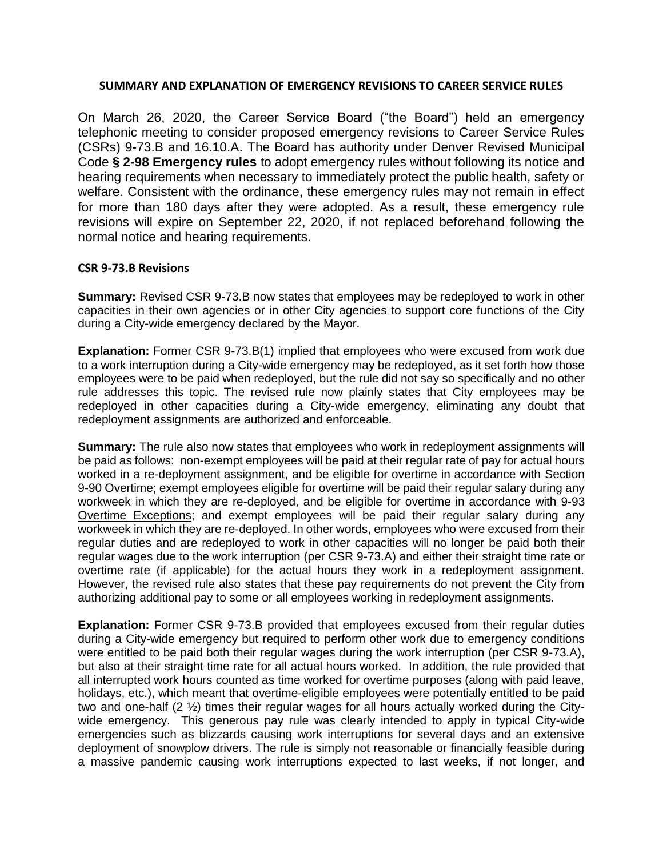## **SUMMARY AND EXPLANATION OF EMERGENCY REVISIONS TO CAREER SERVICE RULES**

On March 26, 2020, the Career Service Board ("the Board") held an emergency telephonic meeting to consider proposed emergency revisions to Career Service Rules (CSRs) 9-73.B and 16.10.A. The Board has authority under Denver Revised Municipal Code **§ 2-98 Emergency rules** to adopt emergency rules without following its notice and hearing requirements when necessary to immediately protect the public health, safety or welfare. Consistent with the ordinance, these emergency rules may not remain in effect for more than 180 days after they were adopted. As a result, these emergency rule revisions will expire on September 22, 2020, if not replaced beforehand following the normal notice and hearing requirements.

## **CSR 9-73.B Revisions**

**Summary:** Revised CSR 9-73.B now states that employees may be redeployed to work in other capacities in their own agencies or in other City agencies to support core functions of the City during a City-wide emergency declared by the Mayor.

**Explanation:** Former CSR 9-73.B(1) implied that employees who were excused from work due to a work interruption during a City-wide emergency may be redeployed, as it set forth how those employees were to be paid when redeployed, but the rule did not say so specifically and no other rule addresses this topic. The revised rule now plainly states that City employees may be redeployed in other capacities during a City-wide emergency, eliminating any doubt that redeployment assignments are authorized and enforceable.

**Summary:** The rule also now states that employees who work in redeployment assignments will be paid as follows: non-exempt employees will be paid at their regular rate of pay for actual hours worked in a re-deployment assignment, and be eligible for overtime in accordance with Section 9-90 Overtime; exempt employees eligible for overtime will be paid their regular salary during any workweek in which they are re-deployed, and be eligible for overtime in accordance with 9-93 Overtime Exceptions; and exempt employees will be paid their regular salary during any workweek in which they are re-deployed. In other words, employees who were excused from their regular duties and are redeployed to work in other capacities will no longer be paid both their regular wages due to the work interruption (per CSR 9-73.A) and either their straight time rate or overtime rate (if applicable) for the actual hours they work in a redeployment assignment. However, the revised rule also states that these pay requirements do not prevent the City from authorizing additional pay to some or all employees working in redeployment assignments.

**Explanation:** Former CSR 9-73.B provided that employees excused from their regular duties during a City-wide emergency but required to perform other work due to emergency conditions were entitled to be paid both their regular wages during the work interruption (per CSR 9-73.A), but also at their straight time rate for all actual hours worked. In addition, the rule provided that all interrupted work hours counted as time worked for overtime purposes (along with paid leave, holidays, etc.), which meant that overtime-eligible employees were potentially entitled to be paid two and one-half (2 ½) times their regular wages for all hours actually worked during the Citywide emergency. This generous pay rule was clearly intended to apply in typical City-wide emergencies such as blizzards causing work interruptions for several days and an extensive deployment of snowplow drivers. The rule is simply not reasonable or financially feasible during a massive pandemic causing work interruptions expected to last weeks, if not longer, and